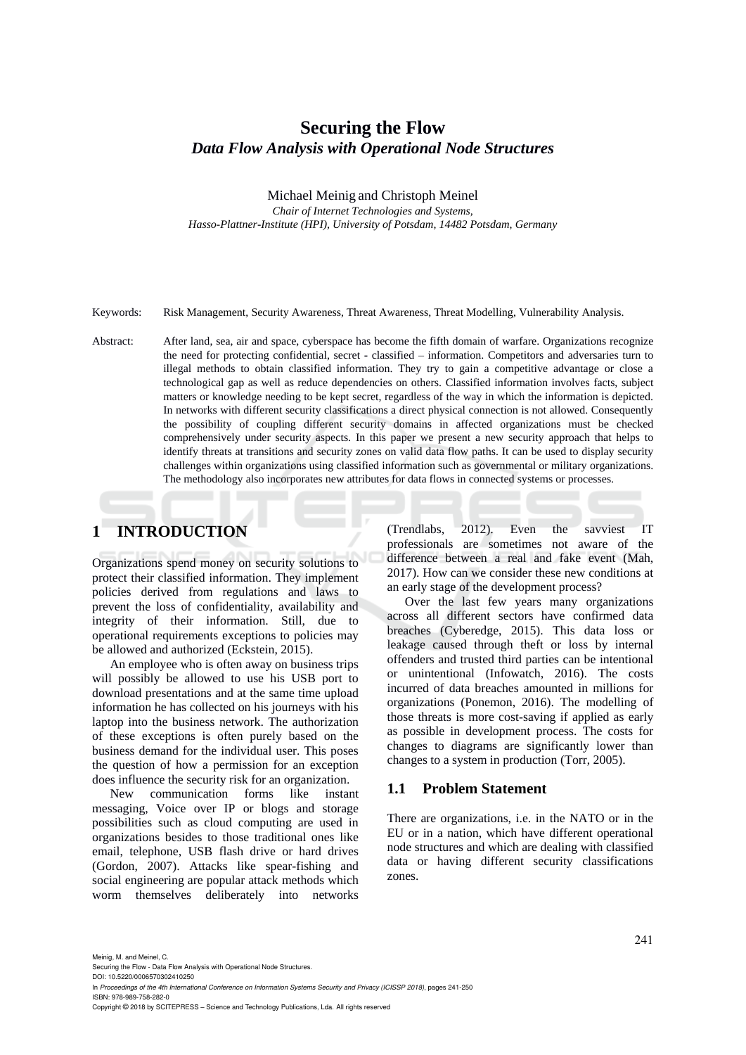# **Securing the Flow** *Data Flow Analysis with Operational Node Structures*

#### Michael Meinig and Christoph Meinel

*Chair of Internet Technologies and Systems, Hasso-Plattner-Institute (HPI), University of Potsdam, 14482 Potsdam, Germany*

Keywords: Risk Management, Security Awareness, Threat Awareness, Threat Modelling, Vulnerability Analysis.

Abstract: After land, sea, air and space, cyberspace has become the fifth domain of warfare. Organizations recognize the need for protecting confidential, secret - classified – information. Competitors and adversaries turn to illegal methods to obtain classified information. They try to gain a competitive advantage or close a technological gap as well as reduce dependencies on others. Classified information involves facts, subject matters or knowledge needing to be kept secret, regardless of the way in which the information is depicted. In networks with different security classifications a direct physical connection is not allowed. Consequently the possibility of coupling different security domains in affected organizations must be checked comprehensively under security aspects. In this paper we present a new security approach that helps to identify threats at transitions and security zones on valid data flow paths. It can be used to display security challenges within organizations using classified information such as governmental or military organizations. The methodology also incorporates new attributes for data flows in connected systems or processes.

## **1 INTRODUCTION**

Organizations spend money on security solutions to protect their classified information. They implement policies derived from regulations and laws to prevent the loss of confidentiality, availability and integrity of their information. Still, due to operational requirements exceptions to policies may be allowed and authorized (Eckstein, 2015).

An employee who is often away on business trips will possibly be allowed to use his USB port to download presentations and at the same time upload information he has collected on his journeys with his laptop into the business network. The authorization of these exceptions is often purely based on the business demand for the individual user. This poses the question of how a permission for an exception does influence the security risk for an organization.

New communication forms like instant messaging, Voice over IP or blogs and storage possibilities such as cloud computing are used in organizations besides to those traditional ones like email, telephone, USB flash drive or hard drives (Gordon, 2007). Attacks like spear-fishing and social engineering are popular attack methods which worm themselves deliberately into networks

(Trendlabs, 2012). Even the savviest IT professionals are sometimes not aware of the difference between a real and fake event (Mah, 2017). How can we consider these new conditions at an early stage of the development process?

Over the last few years many organizations across all different sectors have confirmed data breaches (Cyberedge, 2015). This data loss or leakage caused through theft or loss by internal offenders and trusted third parties can be intentional or unintentional (Infowatch, 2016). The costs incurred of data breaches amounted in millions for organizations (Ponemon, 2016). The modelling of those threats is more cost-saving if applied as early as possible in development process. The costs for changes to diagrams are significantly lower than changes to a system in production (Torr, 2005).

#### **1.1 Problem Statement**

There are organizations, i.e. in the NATO or in the EU or in a nation, which have different operational node structures and which are dealing with classified data or having different security classifications zones.

Meinig, M. and Meinel, C.

Securing the Flow - Data Flow Analysis with Operational Node Structures.

DOI: 10.5220/0006570302410250 In *Proceedings of the 4th International Conference on Information Systems Security and Privacy (ICISSP 2018)*, pages 241-250 ISBN: 978-989-758-282-0

Copyright © 2018 by SCITEPRESS – Science and Technology Publications, Lda. All rights reserved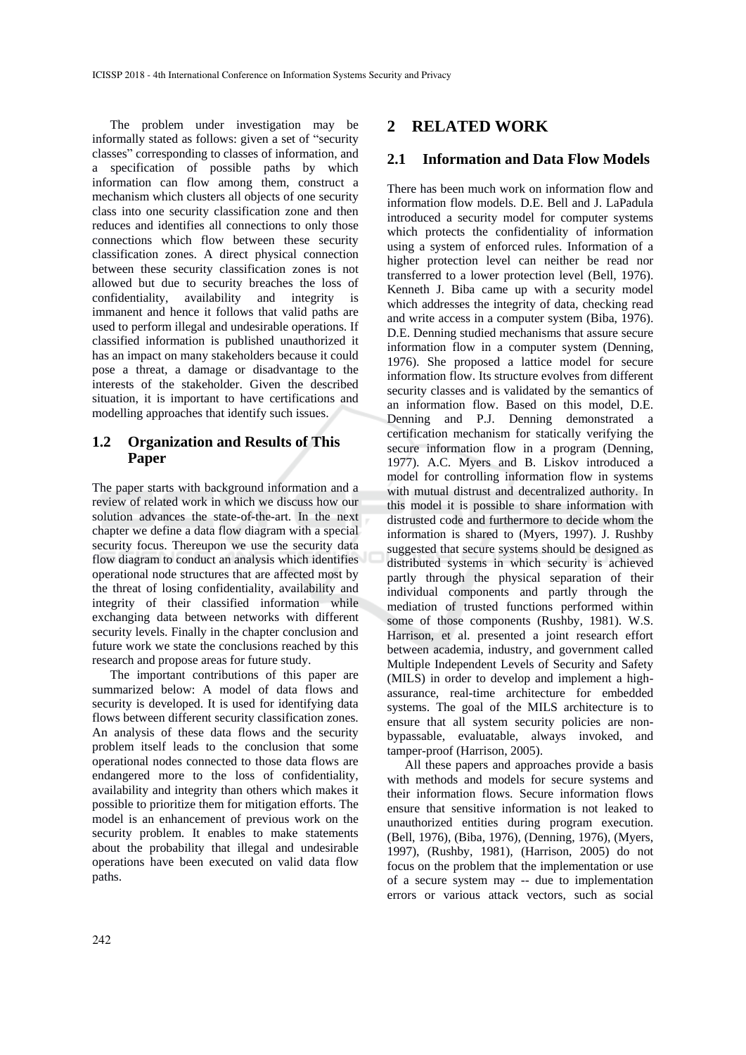The problem under investigation may be informally stated as follows: given a set of "security classes" corresponding to classes of information, and a specification of possible paths by which information can flow among them, construct a mechanism which clusters all objects of one security class into one security classification zone and then reduces and identifies all connections to only those connections which flow between these security classification zones. A direct physical connection between these security classification zones is not allowed but due to security breaches the loss of confidentiality, availability and integrity is immanent and hence it follows that valid paths are used to perform illegal and undesirable operations. If classified information is published unauthorized it has an impact on many stakeholders because it could pose a threat, a damage or disadvantage to the interests of the stakeholder. Given the described situation, it is important to have certifications and modelling approaches that identify such issues.

## **1.2 Organization and Results of This Paper**

The paper starts with background information and a review of related work in which we discuss how our solution advances the state-of-the-art. In the next chapter we define a data flow diagram with a special security focus. Thereupon we use the security data flow diagram to conduct an analysis which identifies operational node structures that are affected most by the threat of losing confidentiality, availability and integrity of their classified information while exchanging data between networks with different security levels. Finally in the chapter conclusion and future work we state the conclusions reached by this research and propose areas for future study.

The important contributions of this paper are summarized below: A model of data flows and security is developed. It is used for identifying data flows between different security classification zones. An analysis of these data flows and the security problem itself leads to the conclusion that some operational nodes connected to those data flows are endangered more to the loss of confidentiality, availability and integrity than others which makes it possible to prioritize them for mitigation efforts. The model is an enhancement of previous work on the security problem. It enables to make statements about the probability that illegal and undesirable operations have been executed on valid data flow paths.

#### **2 RELATED WORK**

## **2.1 Information and Data Flow Models**

There has been much work on information flow and information flow models. D.E. Bell and J. LaPadula introduced a security model for computer systems which protects the confidentiality of information using a system of enforced rules. Information of a higher protection level can neither be read nor transferred to a lower protection level (Bell, 1976). Kenneth J. Biba came up with a security model which addresses the integrity of data, checking read and write access in a computer system (Biba, 1976). D.E. Denning studied mechanisms that assure secure information flow in a computer system (Denning, 1976). She proposed a lattice model for secure information flow. Its structure evolves from different security classes and is validated by the semantics of an information flow. Based on this model, D.E. Denning and P.J. Denning demonstrated a certification mechanism for statically verifying the secure information flow in a program (Denning, 1977). A.C. Myers and B. Liskov introduced a model for controlling information flow in systems with mutual distrust and decentralized authority. In this model it is possible to share information with distrusted code and furthermore to decide whom the information is shared to (Myers, 1997). J. Rushby suggested that secure systems should be designed as distributed systems in which security is achieved partly through the physical separation of their individual components and partly through the mediation of trusted functions performed within some of those components (Rushby, 1981). W.S. Harrison, et al. presented a joint research effort between academia, industry, and government called Multiple Independent Levels of Security and Safety (MILS) in order to develop and implement a highassurance, real-time architecture for embedded systems. The goal of the MILS architecture is to ensure that all system security policies are nonbypassable, evaluatable, always invoked, and tamper-proof (Harrison, 2005).

All these papers and approaches provide a basis with methods and models for secure systems and their information flows. Secure information flows ensure that sensitive information is not leaked to unauthorized entities during program execution. (Bell, 1976), (Biba, 1976), (Denning, 1976), (Myers, 1997), (Rushby, 1981), (Harrison, 2005) do not focus on the problem that the implementation or use of a secure system may -- due to implementation errors or various attack vectors, such as social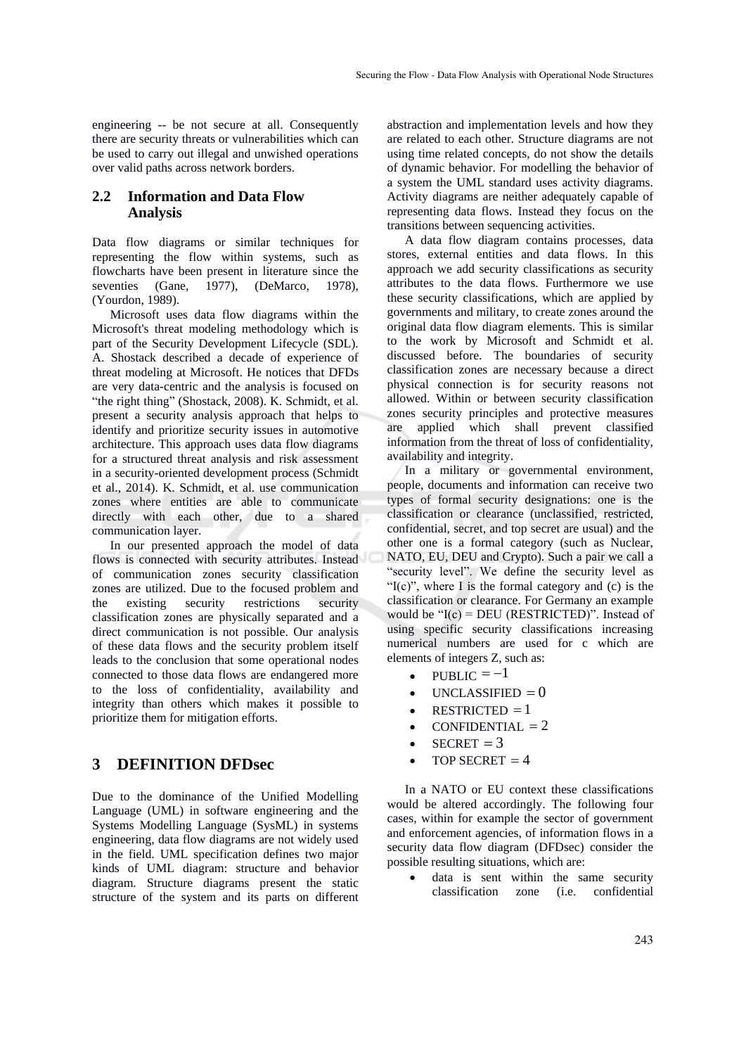engineering -- be not secure at all. Consequently there are security threats or vulnerabilities which can be used to carry out illegal and unwished operations over valid paths across network borders.

#### **2.2 Information and Data Flow Analysis**

Data flow diagrams or similar techniques for representing the flow within systems, such as flowcharts have been present in literature since the seventies (Gane, 1977), (DeMarco, 1978), (Yourdon, 1989).

Microsoft uses data flow diagrams within the Microsoft's threat modeling methodology which is part of the Security Development Lifecycle (SDL). A. Shostack described a decade of experience of threat modeling at Microsoft. He notices that DFDs are very data-centric and the analysis is focused on "the right thing" (Shostack, 2008). K. Schmidt, et al. present a security analysis approach that helps to identify and prioritize security issues in automotive architecture. This approach uses data flow diagrams for a structured threat analysis and risk assessment in a security-oriented development process (Schmidt et al., 2014). K. Schmidt, et al. use communication zones where entities are able to communicate directly with each other, due to a shared communication layer.

In our presented approach the model of data flows is connected with security attributes. Instead of communication zones security classification zones are utilized. Due to the focused problem and the existing security restrictions security classification zones are physically separated and a direct communication is not possible. Our analysis of these data flows and the security problem itself leads to the conclusion that some operational nodes connected to those data flows are endangered more to the loss of confidentiality, availability and integrity than others which makes it possible to prioritize them for mitigation efforts.

## **3 DEFINITION DFDsec**

Due to the dominance of the Unified Modelling Language (UML) in software engineering and the Systems Modelling Language (SysML) in systems engineering, data flow diagrams are not widely used in the field. UML specification defines two major kinds of UML diagram: structure and behavior diagram. Structure diagrams present the static structure of the system and its parts on different

abstraction and implementation levels and how they are related to each other. Structure diagrams are not using time related concepts, do not show the details of dynamic behavior. For modelling the behavior of a system the UML standard uses activity diagrams. Activity diagrams are neither adequately capable of representing data flows. Instead they focus on the transitions between sequencing activities.

A data flow diagram contains processes, data stores, external entities and data flows. In this approach we add security classifications as security attributes to the data flows. Furthermore we use these security classifications, which are applied by governments and military, to create zones around the original data flow diagram elements. This is similar to the work by Microsoft and Schmidt et al. discussed before. The boundaries of security classification zones are necessary because a direct physical connection is for security reasons not allowed. Within or between security classification zones security principles and protective measures are applied which shall prevent classified information from the threat of loss of confidentiality, availability and integrity.

In a military or governmental environment, people, documents and information can receive two types of formal security designations: one is the classification or clearance (unclassified, restricted, confidential, secret, and top secret are usual) and the other one is a formal category (such as Nuclear, NATO, EU, DEU and Crypto). Such a pair we call a "security level". We define the security level as " $I(c)$ ", where I is the formal category and (c) is the classification or clearance. For Germany an example would be " $I(c)$  = DEU (RESTRICTED)". Instead of using specific security classifications increasing numerical numbers are used for c which are elements of integers Z, such as:

- PUBLIC  $= -1$
- $\bullet$  UNCLASSIFIED  $= 0$
- $\bullet$  RESTRICTED = 1
- $\bullet$  CONFIDENTIAL = 2
- SECRET  $= 3$
- $\bullet$  TOP SECRET = 4

In a NATO or EU context these classifications would be altered accordingly. The following four cases, within for example the sector of government and enforcement agencies, of information flows in a security data flow diagram (DFDsec) consider the possible resulting situations, which are:

data is sent within the same security classification zone (i.e. confidential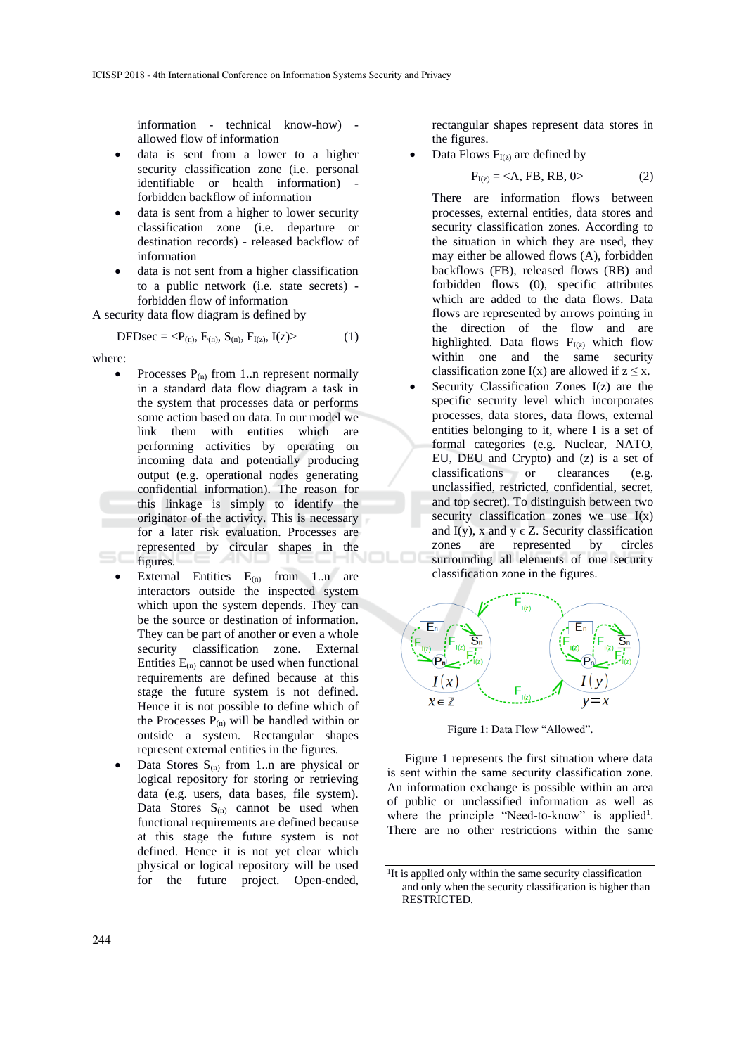information - technical know-how) allowed flow of information

- data is sent from a lower to a higher security classification zone (i.e. personal identifiable or health information) forbidden backflow of information
- data is sent from a higher to lower security classification zone (i.e. departure or destination records) - released backflow of information
- data is not sent from a higher classification to a public network (i.e. state secrets) forbidden flow of information

A security data flow diagram is defined by

$$
DFDsec = \langle P_{(n)}, E_{(n)}, S_{(n)}, F_{I(z)}, I(z) \rangle \tag{1}
$$

where:

- Processes  $P_{(n)}$  from 1..n represent normally in a standard data flow diagram a task in the system that processes data or performs some action based on data. In our model we link them with entities which are performing activities by operating on incoming data and potentially producing output (e.g. operational nodes generating confidential information). The reason for this linkage is simply to identify the originator of the activity. This is necessary for a later risk evaluation. Processes are represented by circular shapes in the figures.
- External Entities  $E_{(n)}$  from 1..n are interactors outside the inspected system which upon the system depends. They can be the source or destination of information. They can be part of another or even a whole security classification zone. External Entities  $E_{(n)}$  cannot be used when functional requirements are defined because at this stage the future system is not defined. Hence it is not possible to define which of the Processes  $P_{(n)}$  will be handled within or outside a system. Rectangular shapes represent external entities in the figures.
- Data Stores  $S_{(n)}$  from 1..n are physical or logical repository for storing or retrieving data (e.g. users, data bases, file system). Data Stores  $S_{(n)}$  cannot be used when functional requirements are defined because at this stage the future system is not defined. Hence it is not yet clear which physical or logical repository will be used for the future project. Open-ended,

rectangular shapes represent data stores in the figures.

Data Flows  $F<sub>I(z)</sub>$  are defined by

$$
F_{I(z)} = \langle A, FB, RB, 0 \rangle \tag{2}
$$

There are information flows between processes, external entities, data stores and security classification zones. According to the situation in which they are used, they may either be allowed flows (A), forbidden backflows (FB), released flows (RB) and forbidden flows (0), specific attributes which are added to the data flows. Data flows are represented by arrows pointing in the direction of the flow and are highlighted. Data flows  $F_{I(z)}$  which flow within one and the same security classification zone  $I(x)$  are allowed if  $z \leq x$ .

• Security Classification Zones I(z) are the specific security level which incorporates processes, data stores, data flows, external entities belonging to it, where I is a set of formal categories (e.g. Nuclear, NATO, EU, DEU and Crypto) and (z) is a set of classifications or clearances (e.g. unclassified, restricted, confidential, secret, and top secret). To distinguish between two security classification zones we use  $I(x)$ and  $I(y)$ , x and y  $\in$  Z. Security classification zones are represented by circles surrounding all elements of one security classification zone in the figures.



Figure 1: Data Flow "Allowed".

Figure 1 represents the first situation where data is sent within the same security classification zone. An information exchange is possible within an area of public or unclassified information as well as where the principle "Need-to-know" is applied<sup>1</sup>. There are no other restrictions within the same

<sup>&</sup>lt;sup>1</sup>It is applied only within the same security classification and only when the security classification is higher than RESTRICTED.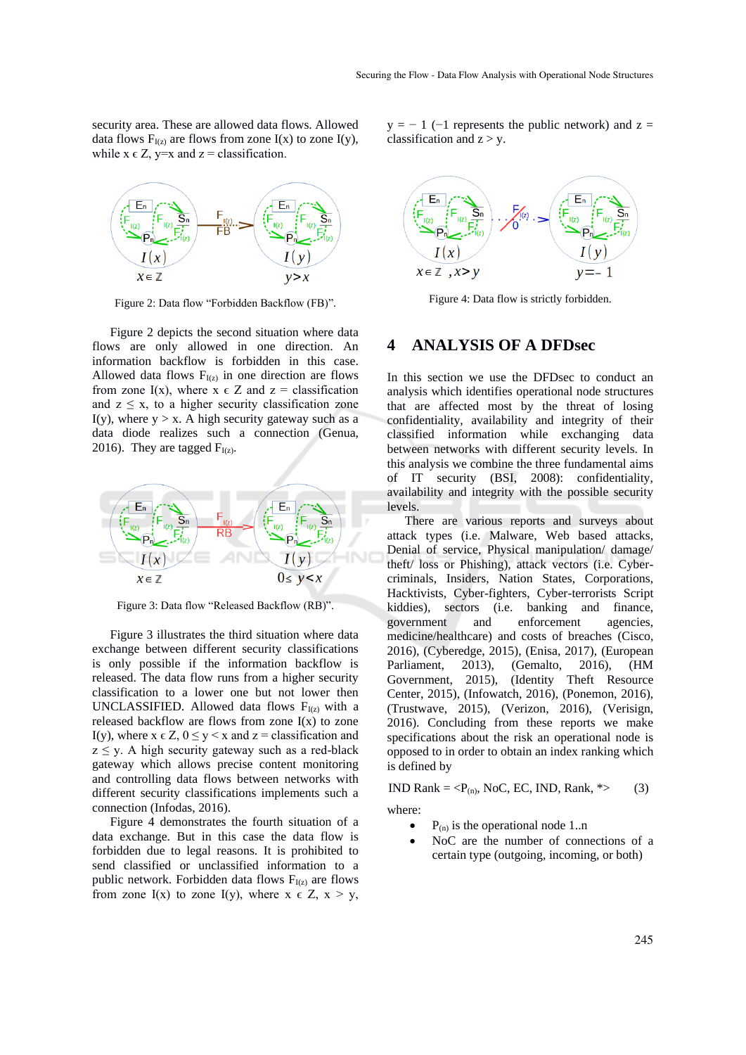security area. These are allowed data flows. Allowed data flows  $F_{I(z)}$  are flows from zone I(x) to zone I(y), while  $x \in Z$ ,  $y=x$  and  $z =$  classification.



Figure 2: Data flow "Forbidden Backflow (FB)".

Figure 2 depicts the second situation where data flows are only allowed in one direction. An information backflow is forbidden in this case. Allowed data flows  $F_{I(z)}$  in one direction are flows from zone I(x), where  $x \in Z$  and  $z =$  classification and  $z \leq x$ , to a higher security classification zone I(y), where  $y > x$ . A high security gateway such as a data diode realizes such a connection (Genua, 2016). They are tagged  $F_{I(z)}$ .



Figure 3: Data flow "Released Backflow (RB)".

Figure 3 illustrates the third situation where data exchange between different security classifications is only possible if the information backflow is released. The data flow runs from a higher security classification to a lower one but not lower then UNCLASSIFIED. Allowed data flows  $F_{I(z)}$  with a released backflow are flows from zone  $I(x)$  to zone I(y), where  $x \in Z$ ,  $0 \le y \le x$  and  $z =$  classification and  $z \leq y$ . A high security gateway such as a red-black gateway which allows precise content monitoring and controlling data flows between networks with different security classifications implements such a connection (Infodas, 2016).

Figure 4 demonstrates the fourth situation of a data exchange. But in this case the data flow is forbidden due to legal reasons. It is prohibited to send classified or unclassified information to a public network. Forbidden data flows  $F_{I(z)}$  are flows from zone I(x) to zone I(y), where  $x \in Z$ ,  $x > y$ ,  $y = -1$  (-1 represents the public network) and z = classification and  $z > y$ .



Figure 4: Data flow is strictly forbidden.

#### **4 ANALYSIS OF A DFDsec**

In this section we use the DFDsec to conduct an analysis which identifies operational node structures that are affected most by the threat of losing confidentiality, availability and integrity of their classified information while exchanging data between networks with different security levels. In this analysis we combine the three fundamental aims of IT security (BSI, 2008): confidentiality, availability and integrity with the possible security levels.

There are various reports and surveys about attack types (i.e. Malware, Web based attacks, Denial of service, Physical manipulation/ damage/ theft/ loss or Phishing), attack vectors (i.e. Cybercriminals, Insiders, Nation States, Corporations, Hacktivists, Cyber-fighters, Cyber-terrorists Script kiddies), sectors (i.e. banking and finance, government and enforcement agencies, medicine/healthcare) and costs of breaches (Cisco, 2016), (Cyberedge, 2015), (Enisa, 2017), (European Parliament, 2013), (Gemalto, 2016), (HM Government, 2015), (Identity Theft Resource Center, 2015), (Infowatch, 2016), (Ponemon, 2016), (Trustwave, 2015), (Verizon, 2016), (Verisign, 2016). Concluding from these reports we make specifications about the risk an operational node is opposed to in order to obtain an index ranking which is defined by

IND Rank  $= **P**<sub>(n)</sub>$ , NoC, EC, IND, Rank,  $*$  (3)

where:

- $P_{(n)}$  is the operational node 1..n
- NoC are the number of connections of a certain type (outgoing, incoming, or both)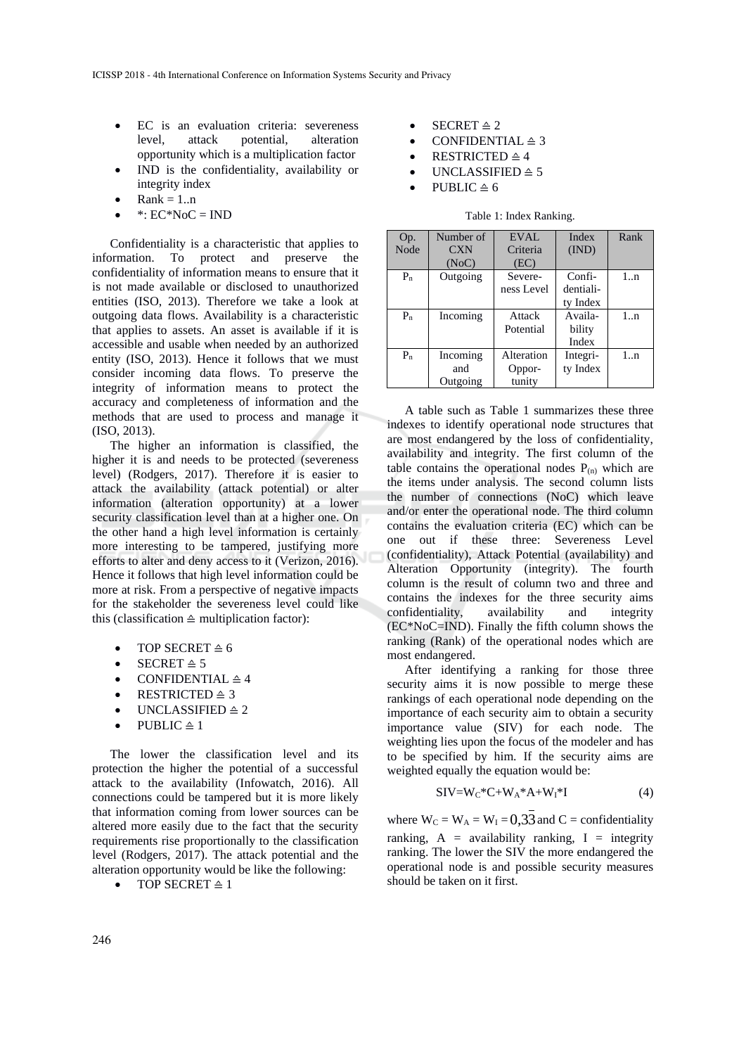- EC is an evaluation criteria: severeness level, attack potential, alteration opportunity which is a multiplication factor
- IND is the confidentiality, availability or integrity index
- $Rank = 1..n$
- $*: EC*NoC = IND$

Confidentiality is a characteristic that applies to information. To protect and preserve the confidentiality of information means to ensure that it is not made available or disclosed to unauthorized entities (ISO, 2013). Therefore we take a look at outgoing data flows. Availability is a characteristic that applies to assets. An asset is available if it is accessible and usable when needed by an authorized entity (ISO, 2013). Hence it follows that we must consider incoming data flows. To preserve the integrity of information means to protect the accuracy and completeness of information and the methods that are used to process and manage it (ISO, 2013).

The higher an information is classified, the higher it is and needs to be protected (severeness level) (Rodgers, 2017). Therefore it is easier to attack the availability (attack potential) or alter information (alteration opportunity) at a lower security classification level than at a higher one. On the other hand a high level information is certainly more interesting to be tampered, justifying more efforts to alter and deny access to it (Verizon, 2016). Hence it follows that high level information could be more at risk. From a perspective of negative impacts for the stakeholder the severeness level could like this (classification  $\triangleq$  multiplication factor):

- TOP SECRET  $\triangleq 6$
- SECRET  $\triangleq 5$
- CONFIDENTIAL  $\triangleq 4$
- RESTRICTED  $\triangleq$  3
- UNCLASSIFIED  $\geq 2$
- PUBLIC  $\triangleq$  1

The lower the classification level and its protection the higher the potential of a successful attack to the availability (Infowatch, 2016). All connections could be tampered but it is more likely that information coming from lower sources can be altered more easily due to the fact that the security requirements rise proportionally to the classification level (Rodgers, 2017). The attack potential and the alteration opportunity would be like the following:

 $\bullet$  TOP SECRET  $\triangleq$  1

- SECRET  $\triangleq 2$
- CONFIDENTIAL  $\triangleq$  3
- RESTRICTED  $\triangleq 4$
- UNCLASSIFIED  $\triangleq$  5
- PUBLIC  $\triangleq 6$

|  |  |  | Table 1: Index Ranking. |
|--|--|--|-------------------------|
|--|--|--|-------------------------|

| Op.   | Number of  | EVAL       | Index     | Rank |
|-------|------------|------------|-----------|------|
| Node  | <b>CXN</b> | Criteria   | (IND)     |      |
|       | (NoC)      | (EC)       |           |      |
| $P_n$ | Outgoing   | Severe-    | Confi-    | 1:n  |
|       |            | ness Level | dentiali- |      |
|       |            |            | ty Index  |      |
| $P_n$ | Incoming   | Attack     | Availa-   | 1:n  |
|       |            | Potential  | bility    |      |
|       |            |            | Index     |      |
| $P_n$ | Incoming   | Alteration | Integri-  | 1:n  |
|       | and        | Oppor-     | ty Index  |      |
|       | Outgoing   | tunity     |           |      |

A table such as Table 1 summarizes these three indexes to identify operational node structures that are most endangered by the loss of confidentiality, availability and integrity. The first column of the table contains the operational nodes  $P_{(n)}$  which are the items under analysis. The second column lists the number of connections (NoC) which leave and/or enter the operational node. The third column contains the evaluation criteria (EC) which can be one out if these three: Severeness Level (confidentiality), Attack Potential (availability) and Alteration Opportunity (integrity). The fourth column is the result of column two and three and contains the indexes for the three security aims confidentiality, availability and integrity (EC\*NoC=IND). Finally the fifth column shows the ranking (Rank) of the operational nodes which are most endangered.

After identifying a ranking for those three security aims it is now possible to merge these rankings of each operational node depending on the importance of each security aim to obtain a security importance value (SIV) for each node. The weighting lies upon the focus of the modeler and has to be specified by him. If the security aims are weighted equally the equation would be:

$$
SIV=W_C*C+W_A*A+W_I*I
$$
 (4)

where  $W_C = W_A = W_I = 0,33$  and  $C =$  confidentiality ranking,  $A =$  availability ranking,  $I =$  integrity ranking. The lower the SIV the more endangered the operational node is and possible security measures should be taken on it first.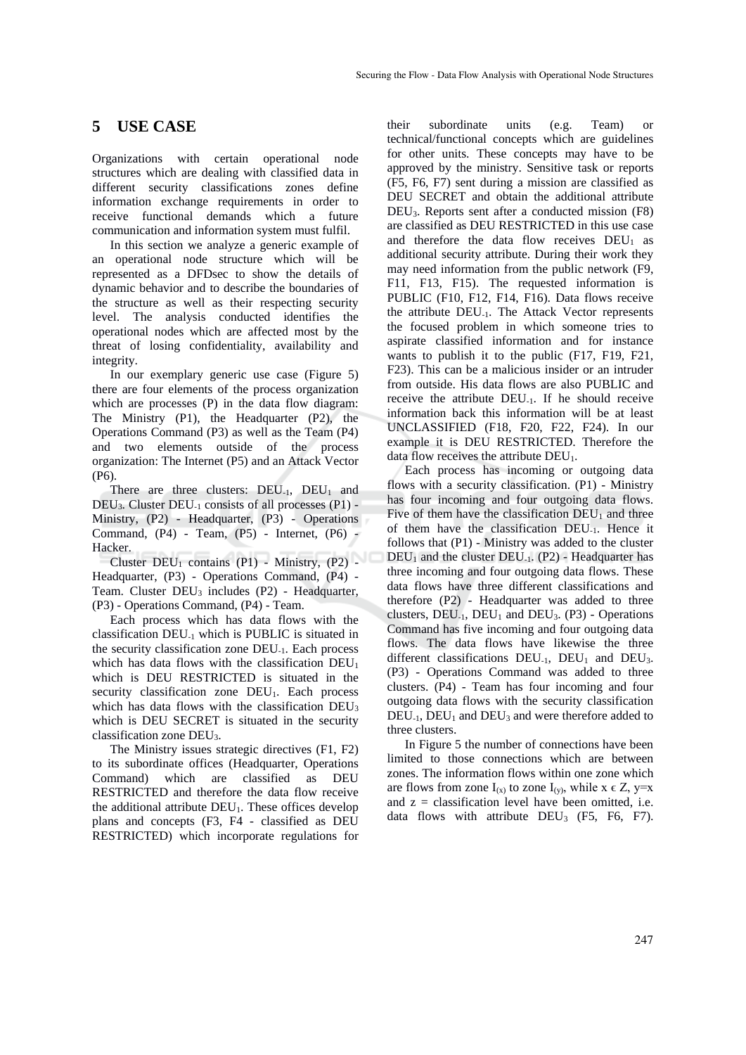## **5 USE CASE**

Organizations with certain operational node structures which are dealing with classified data in different security classifications zones define information exchange requirements in order to receive functional demands which a future communication and information system must fulfil.

In this section we analyze a generic example of an operational node structure which will be represented as a DFDsec to show the details of dynamic behavior and to describe the boundaries of the structure as well as their respecting security level. The analysis conducted identifies the operational nodes which are affected most by the threat of losing confidentiality, availability and integrity.

In our exemplary generic use case (Figure 5) there are four elements of the process organization which are processes (P) in the data flow diagram: The Ministry (P1), the Headquarter (P2), the Operations Command (P3) as well as the Team (P4) and two elements outside of the process organization: The Internet (P5) and an Attack Vector (P6).

There are three clusters:  $DEU_{-1}$ ,  $DEU_1$  and DEU3. Cluster DEU-1 consists of all processes (P1) - Ministry, (P2) - Headquarter, (P3) - Operations Command, (P4) - Team, (P5) - Internet, (P6) - Hacker.

Cluster  $DEU_1$  contains (P1) - Ministry, (P2) -Headquarter, (P3) - Operations Command, (P4) - Team. Cluster DEU<sub>3</sub> includes (P2) - Headquarter, (P3) - Operations Command, (P4) - Team.

Each process which has data flows with the classification DEU-1 which is PUBLIC is situated in the security classification zone DEU-1. Each process which has data flows with the classification  $DEU_1$ which is DEU RESTRICTED is situated in the security classification zone DEU<sub>1</sub>. Each process which has data flows with the classification DEU<sub>3</sub> which is DEU SECRET is situated in the security classification zone DEU3.

The Ministry issues strategic directives (F1, F2) to its subordinate offices (Headquarter, Operations Command) which are classified as DEU RESTRICTED and therefore the data flow receive the additional attribute  $DEU<sub>1</sub>$ . These offices develop plans and concepts (F3, F4 - classified as DEU RESTRICTED) which incorporate regulations for

their subordinate units (e.g. Team) or technical/functional concepts which are guidelines for other units. These concepts may have to be approved by the ministry. Sensitive task or reports (F5, F6, F7) sent during a mission are classified as DEU SECRET and obtain the additional attribute DEU3. Reports sent after a conducted mission (F8) are classified as DEU RESTRICTED in this use case and therefore the data flow receives  $DEU_1$  as additional security attribute. During their work they may need information from the public network (F9, F11, F13, F15). The requested information is PUBLIC (F10, F12, F14, F16). Data flows receive the attribute DEU-1. The Attack Vector represents the focused problem in which someone tries to aspirate classified information and for instance wants to publish it to the public (F17, F19, F21, F23). This can be a malicious insider or an intruder from outside. His data flows are also PUBLIC and receive the attribute DEU-1. If he should receive information back this information will be at least UNCLASSIFIED (F18, F20, F22, F24). In our example it is DEU RESTRICTED. Therefore the data flow receives the attribute  $DEU_1$ .

Each process has incoming or outgoing data flows with a security classification. (P1) - Ministry has four incoming and four outgoing data flows. Five of them have the classification  $\overline{DEU}_1$  and three of them have the classification DEU-1. Hence it follows that (P1) - Ministry was added to the cluster  $DEU_1$  and the cluster  $DEU_{-1}$ . (P2) - Headquarter has three incoming and four outgoing data flows. These data flows have three different classifications and therefore (P2) - Headquarter was added to three clusters, DEU<sub>-1</sub>, DEU<sub>1</sub> and DEU<sub>3</sub>. (P3) - Operations Command has five incoming and four outgoing data flows. The data flows have likewise the three different classifications  $DEU_{-1}$ ,  $DEU_1$  and  $DEU_3$ . (P3) - Operations Command was added to three clusters. (P4) - Team has four incoming and four outgoing data flows with the security classification  $DEU_{-1}$ ,  $DEU_1$  and  $DEU_3$  and were therefore added to three clusters.

In Figure 5 the number of connections have been limited to those connections which are between zones. The information flows within one zone which are flows from zone  $I_{(x)}$  to zone  $I_{(y)}$ , while  $x \in Z$ , y=x and  $z =$  classification level have been omitted, i.e. data flows with attribute  $DEU<sub>3</sub>$  (F5, F6, F7).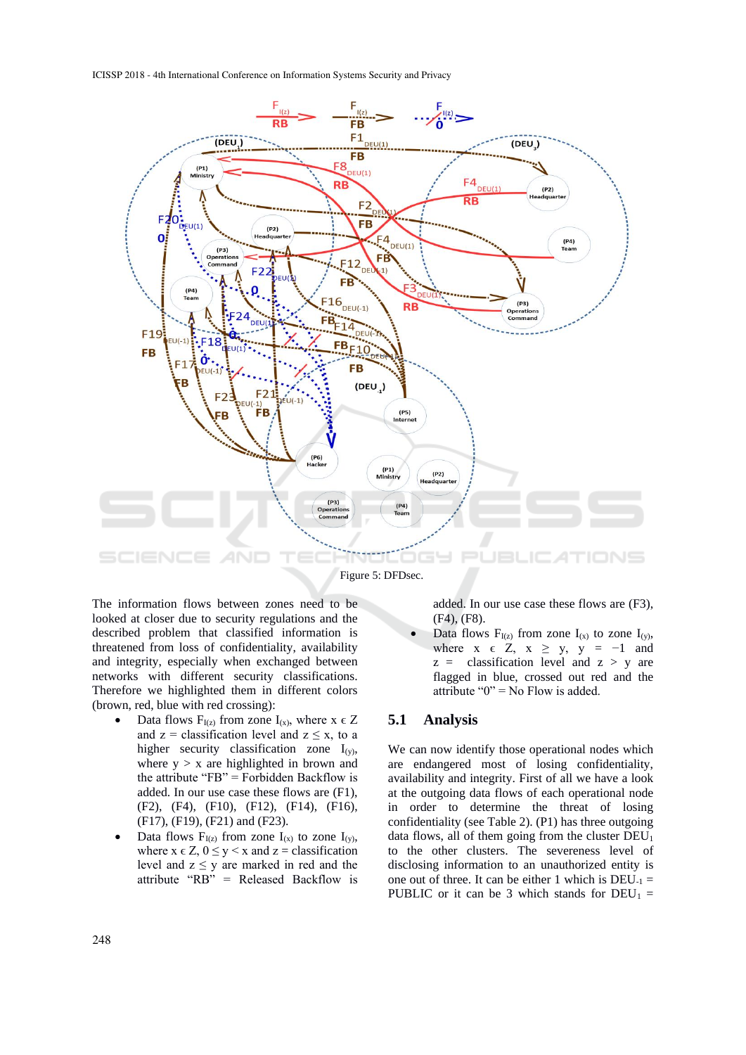ICISSP 2018 - 4th International Conference on Information Systems Security and Privacy



The information flows between zones need to be looked at closer due to security regulations and the described problem that classified information is threatened from loss of confidentiality, availability and integrity, especially when exchanged between networks with different security classifications. Therefore we highlighted them in different colors (brown, red, blue with red crossing):

- Data flows  $F_{I(z)}$  from zone  $I_{(x)}$ , where  $x \in Z$ and  $z =$  classification level and  $z \le x$ , to a higher security classification zone  $I_{(y)}$ , where  $y > x$  are highlighted in brown and the attribute "FB" = Forbidden Backflow is added. In our use case these flows are (F1), (F2), (F4), (F10), (F12), (F14), (F16), (F17), (F19), (F21) and (F23).
- Data flows  $F_{I(z)}$  from zone  $I_{(x)}$  to zone  $I_{(y)}$ , where  $x \in Z$ ,  $0 \le y \le x$  and  $z =$  classification level and  $z \leq y$  are marked in red and the attribute "RB" = Released Backflow is

added. In our use case these flows are (F3), (F4), (F8).

Data flows  $F_{I(z)}$  from zone  $I_{(x)}$  to zone  $I_{(y)}$ , where  $x \in Z$ ,  $x \ge y$ ,  $y = -1$  and  $z =$  classification level and  $z > y$  are flagged in blue, crossed out red and the attribute " $0$ " = No Flow is added.

#### **5.1 Analysis**

We can now identify those operational nodes which are endangered most of losing confidentiality, availability and integrity. First of all we have a look at the outgoing data flows of each operational node in order to determine the threat of losing confidentiality (see Table 2). (P1) has three outgoing data flows, all of them going from the cluster  $DEU_1$ to the other clusters. The severeness level of disclosing information to an unauthorized entity is one out of three. It can be either 1 which is  $DEU_{-1} =$ PUBLIC or it can be 3 which stands for  $DEU_1 =$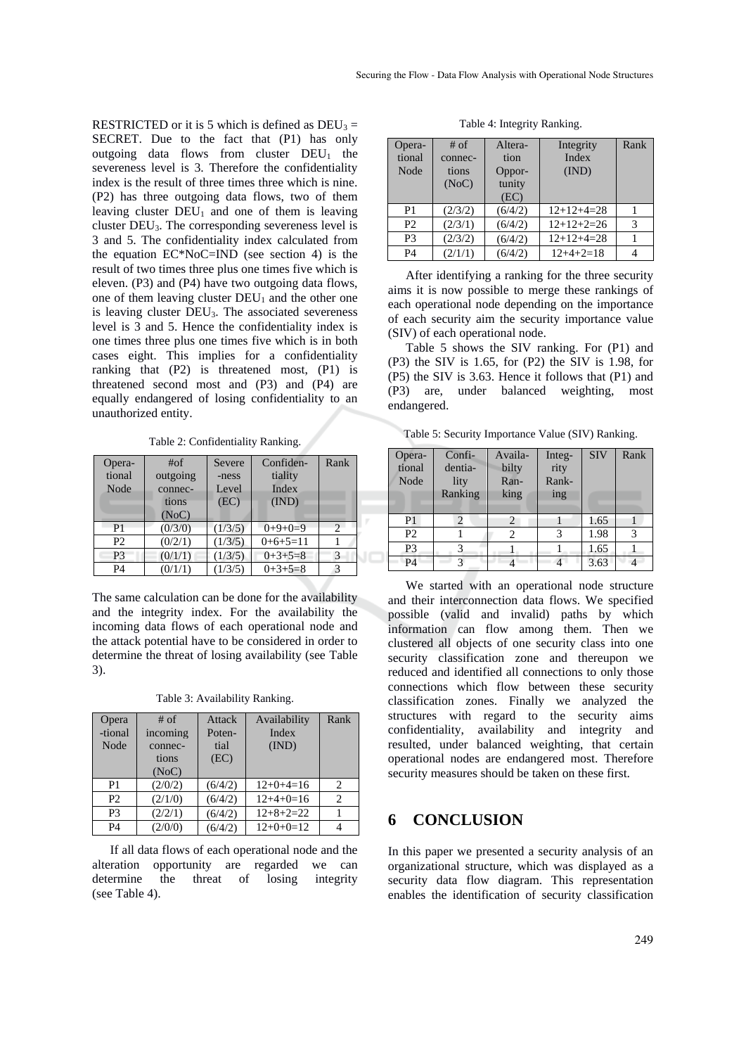RESTRICTED or it is 5 which is defined as  $DEU_3 =$ SECRET. Due to the fact that (P1) has only outgoing data flows from cluster  $DEU_1$  the severeness level is 3. Therefore the confidentiality index is the result of three times three which is nine. (P2) has three outgoing data flows, two of them leaving cluster  $DEU_1$  and one of them is leaving cluster DEU3. The corresponding severeness level is 3 and 5. The confidentiality index calculated from the equation EC\*NoC=IND (see section 4) is the result of two times three plus one times five which is eleven. (P3) and (P4) have two outgoing data flows, one of them leaving cluster  $DEU_1$  and the other one is leaving cluster DEU3. The associated severeness level is 3 and 5. Hence the confidentiality index is one times three plus one times five which is in both cases eight. This implies for a confidentiality ranking that (P2) is threatened most, (P1) is threatened second most and (P3) and (P4) are equally endangered of losing confidentiality to an unauthorized entity.

Table 2: Confidentiality Ranking.

| Opera-<br>tional<br>Node | # <sub>of</sub><br>outgoing<br>connec-<br>tions<br>(NoC) | Confiden-<br>Severe<br>tiality<br>-ness<br>Index<br>Level<br>(IND)<br>(EC) |            | Rank |  |
|--------------------------|----------------------------------------------------------|----------------------------------------------------------------------------|------------|------|--|
| P <sub>1</sub>           | (0/3/0)                                                  | (1/3/5)                                                                    | $0+9+0=9$  |      |  |
| P <sub>2</sub>           | (0/2/1)                                                  | (1/3/5)                                                                    | $0+6+5=11$ |      |  |
| P <sub>3</sub>           | (0/1/1)                                                  | (1/3/5)                                                                    | $0+3+5=8$  | 3    |  |
| <b>P4</b>                | (0/1/1)                                                  | (1/3/5)                                                                    | $0+3+5=8$  |      |  |

The same calculation can be done for the availability and the integrity index. For the availability the incoming data flows of each operational node and the attack potential have to be considered in order to determine the threat of losing availability (see Table 3).

Table 3: Availability Ranking.

| Opera<br>-tional<br>Node | $#$ of<br>incoming<br>connec-<br>tions<br>(NoC) | Attack<br>Poten-<br>tial<br>(EC) | Availability<br>Index<br>(IND) | Rank           |
|--------------------------|-------------------------------------------------|----------------------------------|--------------------------------|----------------|
| P <sub>1</sub>           | (2/0/2)                                         | (6/4/2)                          | $12+0+4=16$                    | 2              |
| P <sub>2</sub>           | (2/1/0)                                         | (6/4/2)                          | $12+4+0=16$                    | $\overline{c}$ |
| P <sub>3</sub>           | (2/2/1)                                         | (6/4/2)                          | $12+8+2=22$                    |                |
| P <sub>4</sub>           | (2/0/0)                                         | (6/4/2)                          | $12+0+0=12$                    |                |

If all data flows of each operational node and the alteration opportunity are regarded we can determine the threat of losing integrity (see Table 4).

Table 4: Integrity Ranking.

| Opera-<br>tional<br>Node | # of<br>connec-<br>tions<br>(NoC) | Altera-<br>tion<br>Oppor-<br>tunity<br>(EC) | Integrity<br>Index<br>(IND) | Rank |
|--------------------------|-----------------------------------|---------------------------------------------|-----------------------------|------|
| P <sub>1</sub>           | (2/3/2)                           | (6/4/2)                                     | $12+12+4=28$                |      |
| P <sub>2</sub>           | (2/3/1)                           | (6/4/2)                                     | $12+12+2=26$                | 3    |
| P <sub>3</sub>           | (2/3/2)                           | (6/4/2)                                     | $12+12+4=28$                |      |
| P <sub>4</sub>           | (2/1/1)                           | (6/4/2)                                     | $12+4+2=18$                 |      |

After identifying a ranking for the three security aims it is now possible to merge these rankings of each operational node depending on the importance of each security aim the security importance value (SIV) of each operational node.

Table 5 shows the SIV ranking. For (P1) and (P3) the SIV is 1.65, for (P2) the SIV is 1.98, for (P5) the SIV is 3.63. Hence it follows that (P1) and (P3) are, under balanced weighting, most endangered.

Table 5: Security Importance Value (SIV) Ranking.

| Opera-<br>tional<br>Node | Confi-<br>dentia-<br>lity<br>Ranking | Availa-<br>bilty<br>Ran-<br>king | Integ-<br>rity<br>Rank-<br>ing | <b>SIV</b> | Rank |
|--------------------------|--------------------------------------|----------------------------------|--------------------------------|------------|------|
| P <sub>1</sub>           | $\overline{2}$                       |                                  |                                | 1.65       |      |
| P <sub>2</sub>           |                                      | 2                                | 3                              | 1.98       |      |
| P <sub>3</sub>           | 3                                    |                                  |                                | 1.65       |      |
| P4                       |                                      |                                  |                                | 3.63       |      |

We started with an operational node structure and their interconnection data flows. We specified possible (valid and invalid) paths by which information can flow among them. Then we clustered all objects of one security class into one security classification zone and thereupon we reduced and identified all connections to only those connections which flow between these security classification zones. Finally we analyzed the structures with regard to the security aims confidentiality, availability and integrity and resulted, under balanced weighting, that certain operational nodes are endangered most. Therefore security measures should be taken on these first.

### **6 CONCLUSION**

In this paper we presented a security analysis of an organizational structure, which was displayed as a security data flow diagram. This representation enables the identification of security classification